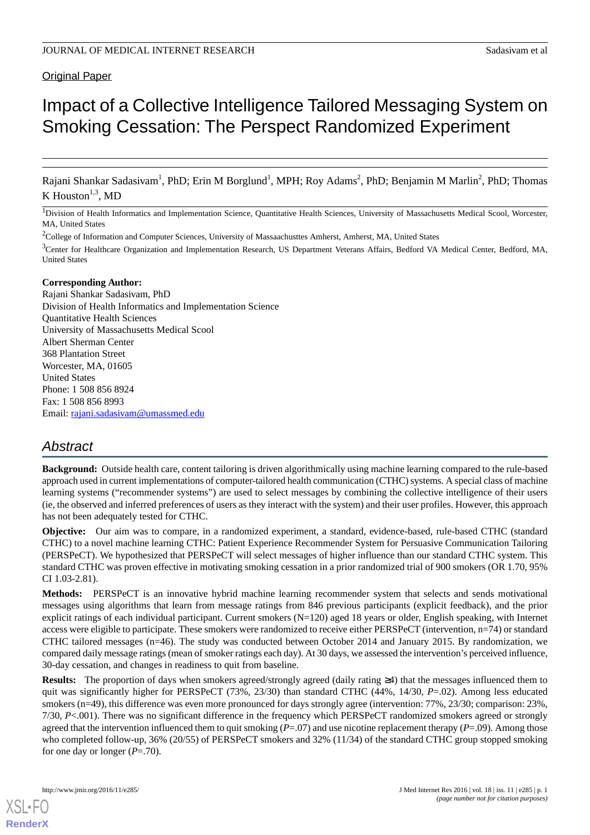# Original Paper

# Impact of a Collective Intelligence Tailored Messaging System on Smoking Cessation: The Perspect Randomized Experiment

Rajani Shankar Sadasivam<sup>1</sup>, PhD; Erin M Borglund<sup>1</sup>, MPH; Roy Adams<sup>2</sup>, PhD; Benjamin M Marlin<sup>2</sup>, PhD; Thomas K Houston<sup>1,3</sup>, MD

<sup>1</sup>Division of Health Informatics and Implementation Science, Quantitative Health Sciences, University of Massachusetts Medical Scool, Worcester, MA, United States

<sup>2</sup>College of Information and Computer Sciences, University of Massaachusttes Amherst, Amherst, MA, United States

<sup>3</sup>Center for Healthcare Organization and Implementation Research, US Department Veterans Affairs, Bedford VA Medical Center, Bedford, MA, United States

#### **Corresponding Author:**

Rajani Shankar Sadasivam, PhD Division of Health Informatics and Implementation Science Quantitative Health Sciences University of Massachusetts Medical Scool Albert Sherman Center 368 Plantation Street Worcester, MA, 01605 United States Phone: 1 508 856 8924 Fax: 1 508 856 8993 Email: [rajani.sadasivam@umassmed.edu](mailto:rajani.sadasivam@umassmed.edu)

# *Abstract*

**Background:** Outside health care, content tailoring is driven algorithmically using machine learning compared to the rule-based approach used in current implementations of computer-tailored health communication (CTHC) systems. A special class of machine learning systems ("recommender systems") are used to select messages by combining the collective intelligence of their users (ie, the observed and inferred preferences of users as they interact with the system) and their user profiles. However, this approach has not been adequately tested for CTHC.

**Objective:** Our aim was to compare, in a randomized experiment, a standard, evidence-based, rule-based CTHC (standard CTHC) to a novel machine learning CTHC: Patient Experience Recommender System for Persuasive Communication Tailoring (PERSPeCT). We hypothesized that PERSPeCT will select messages of higher influence than our standard CTHC system. This standard CTHC was proven effective in motivating smoking cessation in a prior randomized trial of 900 smokers (OR 1.70, 95% CI 1.03-2.81).

**Methods:** PERSPeCT is an innovative hybrid machine learning recommender system that selects and sends motivational messages using algorithms that learn from message ratings from 846 previous participants (explicit feedback), and the prior explicit ratings of each individual participant. Current smokers (N=120) aged 18 years or older, English speaking, with Internet access were eligible to participate. These smokers were randomized to receive either PERSPeCT (intervention, n=74) or standard CTHC tailored messages (n=46). The study was conducted between October 2014 and January 2015. By randomization, we compared daily message ratings (mean of smoker ratings each day). At 30 days, we assessed the intervention's perceived influence, 30-day cessation, and changes in readiness to quit from baseline.

**Results:** The proportion of days when smokers agreed/strongly agreed (daily rating ≥4) that the messages influenced them to quit was significantly higher for PERSPeCT (73%, 23/30) than standard CTHC (44%, 14/30, *P*=.02). Among less educated smokers (n=49), this difference was even more pronounced for days strongly agree (intervention: 77%, 23/30; comparison: 23%, 7/30, *P*<.001). There was no significant difference in the frequency which PERSPeCT randomized smokers agreed or strongly agreed that the intervention influenced them to quit smoking (*P*=.07) and use nicotine replacement therapy (*P*=.09). Among those who completed follow-up, 36% (20/55) of PERSPeCT smokers and 32% (11/34) of the standard CTHC group stopped smoking for one day or longer (*P*=.70).

[XSL](http://www.w3.org/Style/XSL)•FO **[RenderX](http://www.renderx.com/)**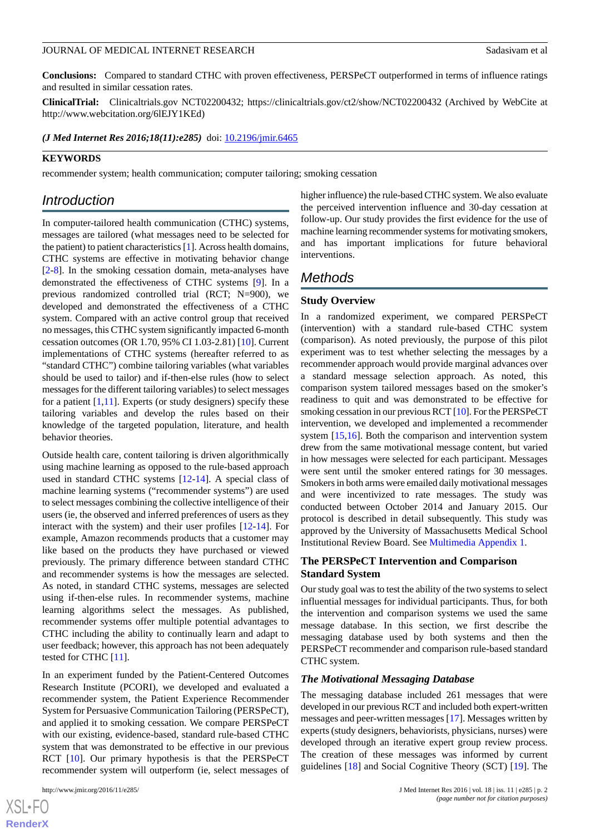**Conclusions:** Compared to standard CTHC with proven effectiveness, PERSPeCT outperformed in terms of influence ratings and resulted in similar cessation rates.

**ClinicalTrial:** Clinicaltrials.gov NCT02200432; https://clinicaltrials.gov/ct2/show/NCT02200432 (Archived by WebCite at http://www.webcitation.org/6lEJY1KEd)

*(J Med Internet Res 2016;18(11):e285)* doi:  $10.2196/$ jmir.6465

#### **KEYWORDS**

recommender system; health communication; computer tailoring; smoking cessation

# *Introduction*

In computer-tailored health communication (CTHC) systems, messages are tailored (what messages need to be selected for the patient) to patient characteristics [\[1\]](#page-10-0). Across health domains, CTHC systems are effective in motivating behavior change [[2](#page-10-1)[-8](#page-11-0)]. In the smoking cessation domain, meta-analyses have demonstrated the effectiveness of CTHC systems [[9\]](#page-11-1). In a previous randomized controlled trial (RCT; N=900), we developed and demonstrated the effectiveness of a CTHC system. Compared with an active control group that received no messages, this CTHC system significantly impacted 6-month cessation outcomes (OR 1.70, 95% CI 1.03-2.81) [\[10](#page-11-2)]. Current implementations of CTHC systems (hereafter referred to as "standard CTHC") combine tailoring variables (what variables should be used to tailor) and if-then-else rules (how to select messages for the different tailoring variables) to select messages for a patient  $[1,11]$  $[1,11]$  $[1,11]$ . Experts (or study designers) specify these tailoring variables and develop the rules based on their knowledge of the targeted population, literature, and health behavior theories.

Outside health care, content tailoring is driven algorithmically using machine learning as opposed to the rule-based approach used in standard CTHC systems [[12](#page-11-4)[-14](#page-11-5)]. A special class of machine learning systems ("recommender systems") are used to select messages combining the collective intelligence of their users (ie, the observed and inferred preferences of users as they interact with the system) and their user profiles [\[12](#page-11-4)[-14](#page-11-5)]. For example, Amazon recommends products that a customer may like based on the products they have purchased or viewed previously. The primary difference between standard CTHC and recommender systems is how the messages are selected. As noted, in standard CTHC systems, messages are selected using if-then-else rules. In recommender systems, machine learning algorithms select the messages. As published, recommender systems offer multiple potential advantages to CTHC including the ability to continually learn and adapt to user feedback; however, this approach has not been adequately tested for CTHC [\[11](#page-11-3)].

In an experiment funded by the Patient-Centered Outcomes Research Institute (PCORI), we developed and evaluated a recommender system, the Patient Experience Recommender System for Persuasive Communication Tailoring (PERSPeCT), and applied it to smoking cessation. We compare PERSPeCT with our existing, evidence-based, standard rule-based CTHC system that was demonstrated to be effective in our previous RCT [\[10](#page-11-2)]. Our primary hypothesis is that the PERSPeCT recommender system will outperform (ie, select messages of

higher influence) the rule-based CTHC system. We also evaluate the perceived intervention influence and 30-day cessation at follow-up. Our study provides the first evidence for the use of machine learning recommender systems for motivating smokers, and has important implications for future behavioral interventions.

# *Methods*

#### **Study Overview**

In a randomized experiment, we compared PERSPeCT (intervention) with a standard rule-based CTHC system (comparison). As noted previously, the purpose of this pilot experiment was to test whether selecting the messages by a recommender approach would provide marginal advances over a standard message selection approach. As noted, this comparison system tailored messages based on the smoker's readiness to quit and was demonstrated to be effective for smoking cessation in our previous RCT [\[10](#page-11-2)]. For the PERSPeCT intervention, we developed and implemented a recommender system [[15,](#page-11-6)[16](#page-11-7)]. Both the comparison and intervention system drew from the same motivational message content, but varied in how messages were selected for each participant. Messages were sent until the smoker entered ratings for 30 messages. Smokers in both arms were emailed daily motivational messages and were incentivized to rate messages. The study was conducted between October 2014 and January 2015. Our protocol is described in detail subsequently. This study was approved by the University of Massachusetts Medical School Institutional Review Board. See [Multimedia Appendix 1.](#page-10-2)

# **The PERSPeCT Intervention and Comparison Standard System**

Our study goal was to test the ability of the two systems to select influential messages for individual participants. Thus, for both the intervention and comparison systems we used the same message database. In this section, we first describe the messaging database used by both systems and then the PERSPeCT recommender and comparison rule-based standard CTHC system.

#### *The Motivational Messaging Database*

The messaging database included 261 messages that were developed in our previous RCT and included both expert-written messages and peer-written messages [[17\]](#page-11-8). Messages written by experts (study designers, behaviorists, physicians, nurses) were developed through an iterative expert group review process. The creation of these messages was informed by current guidelines [\[18](#page-11-9)] and Social Cognitive Theory (SCT) [\[19](#page-11-10)]. The

 $XS$ -FO **[RenderX](http://www.renderx.com/)**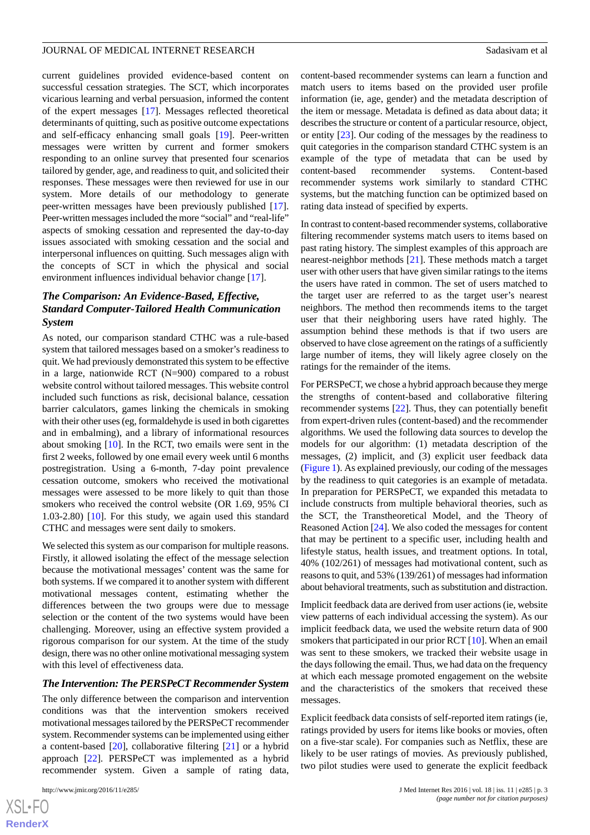current guidelines provided evidence-based content on successful cessation strategies. The SCT, which incorporates vicarious learning and verbal persuasion, informed the content of the expert messages [[17\]](#page-11-8). Messages reflected theoretical determinants of quitting, such as positive outcome expectations and self-efficacy enhancing small goals [\[19](#page-11-10)]. Peer-written messages were written by current and former smokers responding to an online survey that presented four scenarios tailored by gender, age, and readiness to quit, and solicited their responses. These messages were then reviewed for use in our system. More details of our methodology to generate peer-written messages have been previously published [[17\]](#page-11-8). Peer-written messages included the more "social" and "real-life" aspects of smoking cessation and represented the day-to-day issues associated with smoking cessation and the social and interpersonal influences on quitting. Such messages align with the concepts of SCT in which the physical and social environment influences individual behavior change [\[17](#page-11-8)].

# *The Comparison: An Evidence-Based, Effective, Standard Computer-Tailored Health Communication System*

As noted, our comparison standard CTHC was a rule-based system that tailored messages based on a smoker's readiness to quit. We had previously demonstrated this system to be effective in a large, nationwide RCT (N=900) compared to a robust website control without tailored messages. This website control included such functions as risk, decisional balance, cessation barrier calculators, games linking the chemicals in smoking with their other uses (eg, formaldehyde is used in both cigarettes and in embalming), and a library of informational resources about smoking [[10\]](#page-11-2). In the RCT, two emails were sent in the first 2 weeks, followed by one email every week until 6 months postregistration. Using a 6-month, 7-day point prevalence cessation outcome, smokers who received the motivational messages were assessed to be more likely to quit than those smokers who received the control website (OR 1.69, 95% CI 1.03-2.80) [[10\]](#page-11-2). For this study, we again used this standard CTHC and messages were sent daily to smokers.

We selected this system as our comparison for multiple reasons. Firstly, it allowed isolating the effect of the message selection because the motivational messages' content was the same for both systems. If we compared it to another system with different motivational messages content, estimating whether the differences between the two groups were due to message selection or the content of the two systems would have been challenging. Moreover, using an effective system provided a rigorous comparison for our system. At the time of the study design, there was no other online motivational messaging system with this level of effectiveness data.

#### *The Intervention: The PERSPeCT Recommender System*

The only difference between the comparison and intervention conditions was that the intervention smokers received motivational messages tailored by the PERSPeCT recommender system. Recommender systems can be implemented using either a content-based [[20\]](#page-11-11), collaborative filtering [[21\]](#page-11-12) or a hybrid approach [\[22](#page-11-13)]. PERSPeCT was implemented as a hybrid recommender system. Given a sample of rating data,

content-based recommender systems can learn a function and match users to items based on the provided user profile information (ie, age, gender) and the metadata description of the item or message. Metadata is defined as data about data; it describes the structure or content of a particular resource, object, or entity [[23\]](#page-11-14). Our coding of the messages by the readiness to quit categories in the comparison standard CTHC system is an example of the type of metadata that can be used by content-based recommender systems. Content-based recommender systems work similarly to standard CTHC systems, but the matching function can be optimized based on rating data instead of specified by experts.

In contrast to content-based recommender systems, collaborative filtering recommender systems match users to items based on past rating history. The simplest examples of this approach are nearest-neighbor methods [[21\]](#page-11-12). These methods match a target user with other users that have given similar ratings to the items the users have rated in common. The set of users matched to the target user are referred to as the target user's nearest neighbors. The method then recommends items to the target user that their neighboring users have rated highly. The assumption behind these methods is that if two users are observed to have close agreement on the ratings of a sufficiently large number of items, they will likely agree closely on the ratings for the remainder of the items.

For PERSPeCT, we chose a hybrid approach because they merge the strengths of content-based and collaborative filtering recommender systems [\[22](#page-11-13)]. Thus, they can potentially benefit from expert-driven rules (content-based) and the recommender algorithms. We used the following data sources to develop the models for our algorithm: (1) metadata description of the messages, (2) implicit, and (3) explicit user feedback data ([Figure 1\)](#page-4-0). As explained previously, our coding of the messages by the readiness to quit categories is an example of metadata. In preparation for PERSPeCT, we expanded this metadata to include constructs from multiple behavioral theories, such as the SCT, the Transtheoretical Model, and the Theory of Reasoned Action [\[24](#page-11-15)]. We also coded the messages for content that may be pertinent to a specific user, including health and lifestyle status, health issues, and treatment options. In total, 40% (102/261) of messages had motivational content, such as reasons to quit, and 53% (139/261) of messages had information about behavioral treatments, such as substitution and distraction.

Implicit feedback data are derived from user actions (ie, website view patterns of each individual accessing the system). As our implicit feedback data, we used the website return data of 900 smokers that participated in our prior RCT [[10\]](#page-11-2). When an email was sent to these smokers, we tracked their website usage in the days following the email. Thus, we had data on the frequency at which each message promoted engagement on the website and the characteristics of the smokers that received these messages.

Explicit feedback data consists of self-reported item ratings (ie, ratings provided by users for items like books or movies, often on a five-star scale). For companies such as Netflix, these are likely to be user ratings of movies. As previously published, two pilot studies were used to generate the explicit feedback

```
XS-FO
RenderX
```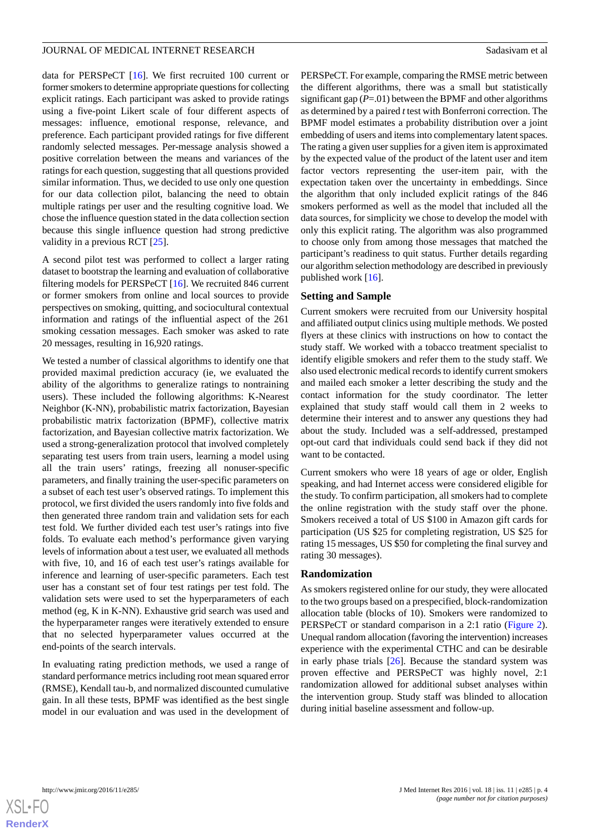data for PERSPeCT [[16\]](#page-11-7). We first recruited 100 current or former smokers to determine appropriate questions for collecting explicit ratings. Each participant was asked to provide ratings using a five-point Likert scale of four different aspects of messages: influence, emotional response, relevance, and preference. Each participant provided ratings for five different randomly selected messages. Per-message analysis showed a positive correlation between the means and variances of the ratings for each question, suggesting that all questions provided similar information. Thus, we decided to use only one question for our data collection pilot, balancing the need to obtain multiple ratings per user and the resulting cognitive load. We chose the influence question stated in the data collection section because this single influence question had strong predictive validity in a previous RCT [\[25](#page-11-16)].

A second pilot test was performed to collect a larger rating dataset to bootstrap the learning and evaluation of collaborative filtering models for PERSPeCT [\[16](#page-11-7)]. We recruited 846 current or former smokers from online and local sources to provide perspectives on smoking, quitting, and sociocultural contextual information and ratings of the influential aspect of the 261 smoking cessation messages. Each smoker was asked to rate 20 messages, resulting in 16,920 ratings.

We tested a number of classical algorithms to identify one that provided maximal prediction accuracy (ie, we evaluated the ability of the algorithms to generalize ratings to nontraining users). These included the following algorithms: K-Nearest Neighbor (K-NN), probabilistic matrix factorization, Bayesian probabilistic matrix factorization (BPMF), collective matrix factorization, and Bayesian collective matrix factorization. We used a strong-generalization protocol that involved completely separating test users from train users, learning a model using all the train users' ratings, freezing all nonuser-specific parameters, and finally training the user-specific parameters on a subset of each test user's observed ratings. To implement this protocol, we first divided the users randomly into five folds and then generated three random train and validation sets for each test fold. We further divided each test user's ratings into five folds. To evaluate each method's performance given varying levels of information about a test user, we evaluated all methods with five, 10, and 16 of each test user's ratings available for inference and learning of user-specific parameters. Each test user has a constant set of four test ratings per test fold. The validation sets were used to set the hyperparameters of each method (eg, K in K-NN). Exhaustive grid search was used and the hyperparameter ranges were iteratively extended to ensure that no selected hyperparameter values occurred at the end-points of the search intervals.

In evaluating rating prediction methods, we used a range of standard performance metrics including root mean squared error (RMSE), Kendall tau-b, and normalized discounted cumulative gain. In all these tests, BPMF was identified as the best single model in our evaluation and was used in the development of

PERSPeCT. For example, comparing the RMSE metric between the different algorithms, there was a small but statistically significant gap  $(P=01)$  between the BPMF and other algorithms as determined by a paired *t*test with Bonferroni correction. The BPMF model estimates a probability distribution over a joint embedding of users and items into complementary latent spaces. The rating a given user supplies for a given item is approximated by the expected value of the product of the latent user and item factor vectors representing the user-item pair, with the expectation taken over the uncertainty in embeddings. Since the algorithm that only included explicit ratings of the 846 smokers performed as well as the model that included all the data sources, for simplicity we chose to develop the model with only this explicit rating. The algorithm was also programmed to choose only from among those messages that matched the participant's readiness to quit status. Further details regarding

#### **Setting and Sample**

published work [\[16](#page-11-7)].

Current smokers were recruited from our University hospital and affiliated output clinics using multiple methods. We posted flyers at these clinics with instructions on how to contact the study staff. We worked with a tobacco treatment specialist to identify eligible smokers and refer them to the study staff. We also used electronic medical records to identify current smokers and mailed each smoker a letter describing the study and the contact information for the study coordinator. The letter explained that study staff would call them in 2 weeks to determine their interest and to answer any questions they had about the study. Included was a self-addressed, prestamped opt-out card that individuals could send back if they did not want to be contacted.

our algorithm selection methodology are described in previously

Current smokers who were 18 years of age or older, English speaking, and had Internet access were considered eligible for the study. To confirm participation, all smokers had to complete the online registration with the study staff over the phone. Smokers received a total of US \$100 in Amazon gift cards for participation (US \$25 for completing registration, US \$25 for rating 15 messages, US \$50 for completing the final survey and rating 30 messages).

#### **Randomization**

As smokers registered online for our study, they were allocated to the two groups based on a prespecified, block-randomization allocation table (blocks of 10). Smokers were randomized to PERSPeCT or standard comparison in a 2:1 ratio [\(Figure 2\)](#page-4-1). Unequal random allocation (favoring the intervention) increases experience with the experimental CTHC and can be desirable in early phase trials  $[26]$  $[26]$ . Because the standard system was proven effective and PERSPeCT was highly novel, 2:1 randomization allowed for additional subset analyses within the intervention group. Study staff was blinded to allocation during initial baseline assessment and follow-up.

**[RenderX](http://www.renderx.com/)**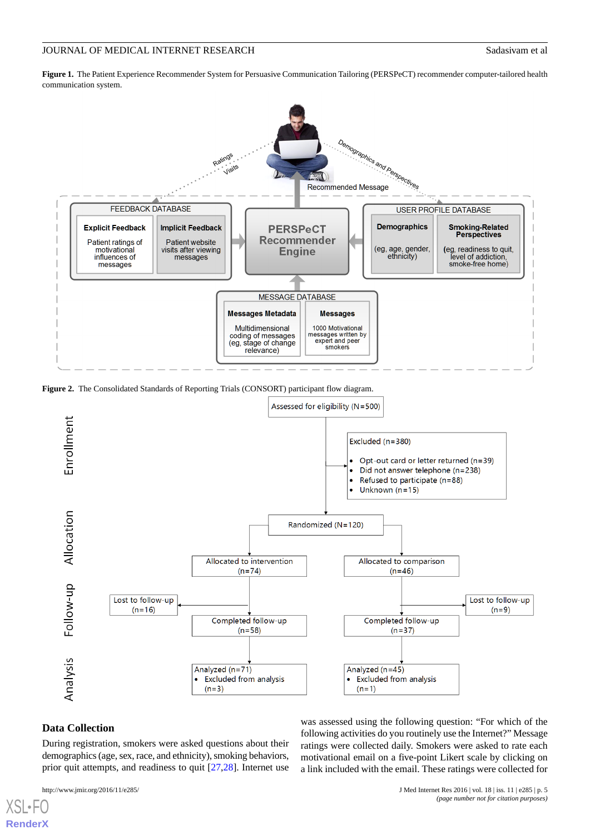<span id="page-4-0"></span>**Figure 1.** The Patient Experience Recommender System for Persuasive Communication Tailoring (PERSPeCT) recommender computer-tailored health communication system.



<span id="page-4-1"></span>**Figure 2.** The Consolidated Standards of Reporting Trials (CONSORT) participant flow diagram.



#### **Data Collection**

[XSL](http://www.w3.org/Style/XSL)•FC **[RenderX](http://www.renderx.com/)**

During registration, smokers were asked questions about their demographics (age, sex, race, and ethnicity), smoking behaviors, prior quit attempts, and readiness to quit [[27](#page-11-18)[,28](#page-11-19)]. Internet use

was assessed using the following question: "For which of the following activities do you routinely use the Internet?" Message ratings were collected daily. Smokers were asked to rate each motivational email on a five-point Likert scale by clicking on a link included with the email. These ratings were collected for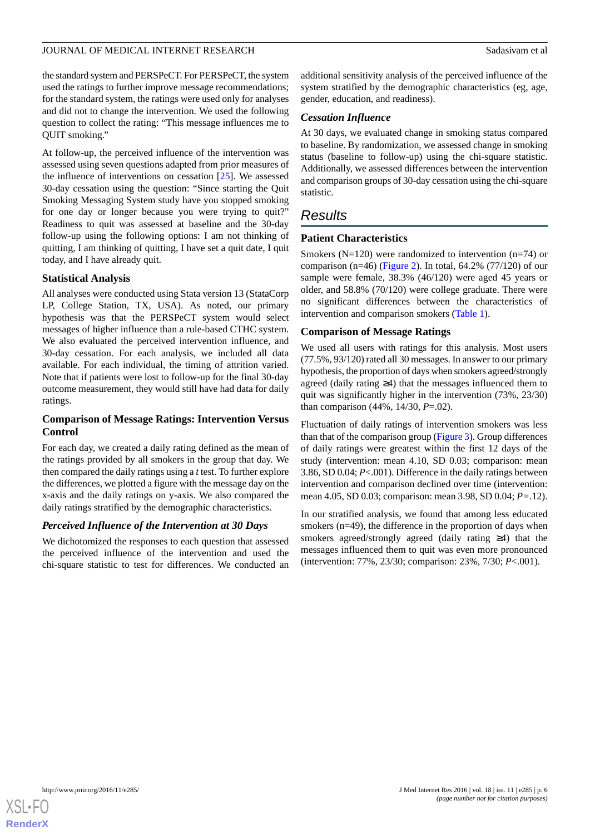the standard system and PERSPeCT. For PERSPeCT, the system used the ratings to further improve message recommendations; for the standard system, the ratings were used only for analyses and did not to change the intervention. We used the following question to collect the rating: "This message influences me to QUIT smoking."

At follow-up, the perceived influence of the intervention was assessed using seven questions adapted from prior measures of the influence of interventions on cessation [\[25](#page-11-16)]. We assessed 30-day cessation using the question: "Since starting the Quit Smoking Messaging System study have you stopped smoking for one day or longer because you were trying to quit?" Readiness to quit was assessed at baseline and the 30-day follow-up using the following options: I am not thinking of quitting, I am thinking of quitting, I have set a quit date, I quit today, and I have already quit.

#### **Statistical Analysis**

All analyses were conducted using Stata version 13 (StataCorp LP, College Station, TX, USA). As noted, our primary hypothesis was that the PERSPeCT system would select messages of higher influence than a rule-based CTHC system. We also evaluated the perceived intervention influence, and 30-day cessation. For each analysis, we included all data available. For each individual, the timing of attrition varied. Note that if patients were lost to follow-up for the final 30-day outcome measurement, they would still have had data for daily ratings.

# **Comparison of Message Ratings: Intervention Versus Control**

For each day, we created a daily rating defined as the mean of the ratings provided by all smokers in the group that day. We then compared the daily ratings using a *t*test. To further explore the differences, we plotted a figure with the message day on the x-axis and the daily ratings on y-axis. We also compared the daily ratings stratified by the demographic characteristics.

#### *Perceived Influence of the Intervention at 30 Days*

We dichotomized the responses to each question that assessed the perceived influence of the intervention and used the chi-square statistic to test for differences. We conducted an additional sensitivity analysis of the perceived influence of the system stratified by the demographic characteristics (eg, age, gender, education, and readiness).

#### *Cessation Influence*

At 30 days, we evaluated change in smoking status compared to baseline. By randomization, we assessed change in smoking status (baseline to follow-up) using the chi-square statistic. Additionally, we assessed differences between the intervention and comparison groups of 30-day cessation using the chi-square statistic.

# *Results*

#### **Patient Characteristics**

Smokers ( $N=120$ ) were randomized to intervention ( $n=74$ ) or comparison (n=46) [\(Figure 2](#page-4-1)). In total,  $64.2\%$  (77/120) of our sample were female, 38.3% (46/120) were aged 45 years or older, and 58.8% (70/120) were college graduate. There were no significant differences between the characteristics of intervention and comparison smokers ([Table 1\)](#page-6-0).

#### **Comparison of Message Ratings**

We used all users with ratings for this analysis. Most users (77.5%, 93/120) rated all 30 messages. In answer to our primary hypothesis, the proportion of days when smokers agreed/strongly agreed (daily rating ≥4) that the messages influenced them to quit was significantly higher in the intervention (73%, 23/30) than comparison (44%, 14/30, *P*=.02).

Fluctuation of daily ratings of intervention smokers was less than that of the comparison group ([Figure 3\)](#page-7-0). Group differences of daily ratings were greatest within the first 12 days of the study (intervention: mean 4.10, SD 0.03; comparison: mean 3.86, SD 0.04; *P*<.001). Difference in the daily ratings between intervention and comparison declined over time (intervention: mean 4.05, SD 0.03; comparison: mean 3.98, SD 0.04; *P=*.12).

In our stratified analysis, we found that among less educated smokers (n=49), the difference in the proportion of days when smokers agreed/strongly agreed (daily rating ≥4) that the messages influenced them to quit was even more pronounced (intervention: 77%, 23/30; comparison: 23%, 7/30; *P*<.001).

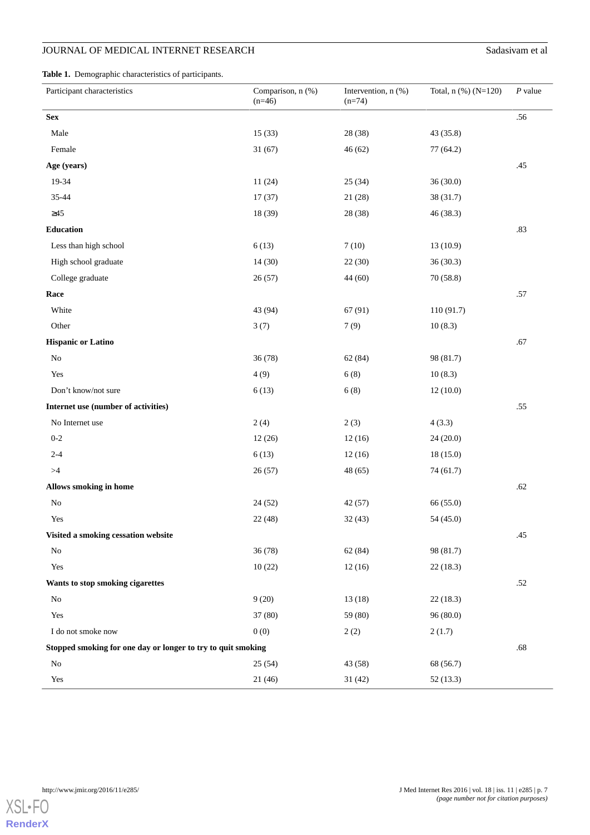# **JOURNAL OF MEDICAL INTERNET RESEARCH** Sadasivam et al

<span id="page-6-0"></span>**Table 1.** Demographic characteristics of participants.

| Participant characteristics                                  | Comparison, n (%)<br>$(n=46)$ | Intervention, n (%)<br>$(n=74)$ | Total, n (%) (N=120) | $P$ value |
|--------------------------------------------------------------|-------------------------------|---------------------------------|----------------------|-----------|
| <b>Sex</b>                                                   |                               |                                 |                      | .56       |
| Male                                                         | 15(33)                        | 28 (38)                         | 43 (35.8)            |           |
| Female                                                       | 31(67)                        | 46(62)                          | 77 (64.2)            |           |
| Age (years)                                                  |                               |                                 |                      | .45       |
| 19-34                                                        | 11(24)                        | 25(34)                          | 36(30.0)             |           |
| 35-44                                                        | 17(37)                        | 21(28)                          | 38 (31.7)            |           |
| $\geq45$                                                     | 18 (39)                       | 28 (38)                         | 46 (38.3)            |           |
| <b>Education</b>                                             |                               |                                 |                      | .83       |
| Less than high school                                        | 6(13)                         | 7(10)                           | 13(10.9)             |           |
| High school graduate                                         | 14(30)                        | 22(30)                          | 36(30.3)             |           |
| College graduate                                             | 26(57)                        | 44 (60)                         | 70(58.8)             |           |
| Race                                                         |                               |                                 |                      | .57       |
| White                                                        | 43 (94)                       | 67(91)                          | 110 (91.7)           |           |
| Other                                                        | 3(7)                          | 7(9)                            | 10(8.3)              |           |
| <b>Hispanic or Latino</b>                                    |                               |                                 |                      | .67       |
| $\rm No$                                                     | 36(78)                        | 62(84)                          | 98 (81.7)            |           |
| Yes                                                          | 4(9)                          | 6(8)                            | 10(8.3)              |           |
| Don't know/not sure                                          | 6(13)                         | 6(8)                            | 12(10.0)             |           |
| Internet use (number of activities)                          |                               |                                 |                      | .55       |
| No Internet use                                              | 2(4)                          | 2(3)                            | 4(3.3)               |           |
| $0-2$                                                        | 12(26)                        | 12(16)                          | 24(20.0)             |           |
| $2 - 4$                                                      | 6(13)                         | 12(16)                          | 18(15.0)             |           |
| >4                                                           | 26(57)                        | 48 (65)                         | 74 (61.7)            |           |
| Allows smoking in home                                       |                               |                                 |                      | .62       |
| $\rm No$                                                     | 24(52)                        | 42(57)                          | 66 (55.0)            |           |
| Yes                                                          | 22 (48)                       | 32(43)                          | 54 (45.0)            |           |
| Visited a smoking cessation website                          |                               |                                 |                      | .45       |
| $\rm No$                                                     | 36(78)                        | 62(84)                          | 98 (81.7)            |           |
| Yes                                                          | 10(22)                        | 12(16)                          | 22(18.3)             |           |
| Wants to stop smoking cigarettes                             |                               |                                 |                      | .52       |
| No                                                           | 9(20)                         | 13(18)                          | 22(18.3)             |           |
| Yes                                                          | 37 (80)                       | 59 (80)                         | 96 (80.0)            |           |
| I do not smoke now                                           | 0(0)                          | 2(2)                            | 2(1.7)               |           |
| Stopped smoking for one day or longer to try to quit smoking |                               |                                 |                      |           |
| No                                                           | 25(54)                        | 43(58)                          | 68 (56.7)            |           |
| Yes                                                          | 21(46)                        | 31(42)                          | 52(13.3)             |           |



**[RenderX](http://www.renderx.com/)**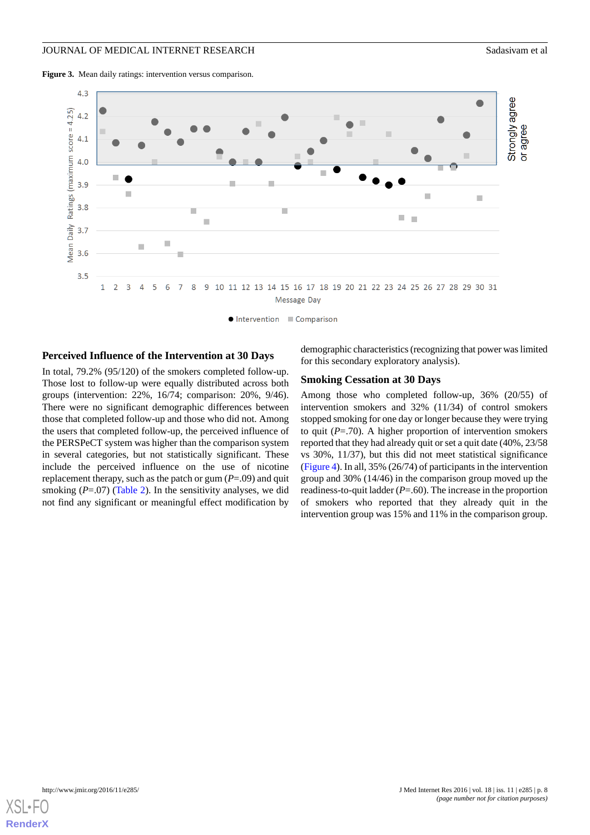<span id="page-7-0"></span>**Figure 3.** Mean daily ratings: intervention versus comparison.



Intervention Comparison

#### **Perceived Influence of the Intervention at 30 Days**

In total, 79.2% (95/120) of the smokers completed follow-up. Those lost to follow-up were equally distributed across both groups (intervention: 22%, 16/74; comparison: 20%, 9/46). There were no significant demographic differences between those that completed follow-up and those who did not. Among the users that completed follow-up, the perceived influence of the PERSPeCT system was higher than the comparison system in several categories, but not statistically significant. These include the perceived influence on the use of nicotine replacement therapy, such as the patch or gum (*P*=.09) and quit smoking  $(P=.07)$  ([Table 2\)](#page-8-0). In the sensitivity analyses, we did not find any significant or meaningful effect modification by

demographic characteristics (recognizing that power was limited for this secondary exploratory analysis).

#### **Smoking Cessation at 30 Days**

Among those who completed follow-up, 36% (20/55) of intervention smokers and 32% (11/34) of control smokers stopped smoking for one day or longer because they were trying to quit  $(P=.70)$ . A higher proportion of intervention smokers reported that they had already quit or set a quit date (40%, 23/58 vs 30%, 11/37), but this did not meet statistical significance ([Figure 4\)](#page-9-0). In all, 35% (26/74) of participants in the intervention group and 30% (14/46) in the comparison group moved up the readiness-to-quit ladder (*P*=.60). The increase in the proportion of smokers who reported that they already quit in the intervention group was 15% and 11% in the comparison group.

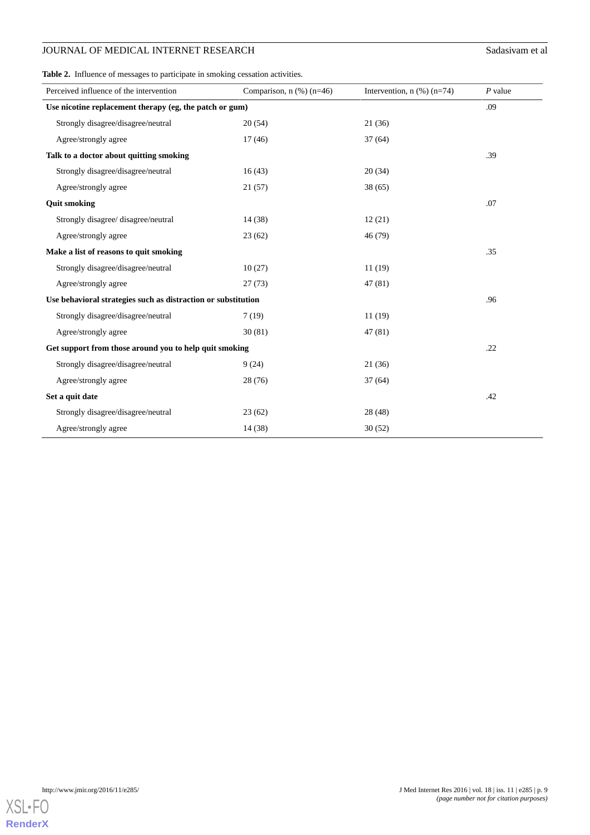# **JOURNAL OF MEDICAL INTERNET RESEARCH** Sadasivam et al

<span id="page-8-0"></span>**Table 2.** Influence of messages to participate in smoking cessation activities.

| Perceived influence of the intervention                       | Comparison, $n$ (%) ( $n=46$ ) | Intervention, $n$ (%) ( $n=74$ ) | $P$ value |  |
|---------------------------------------------------------------|--------------------------------|----------------------------------|-----------|--|
| Use nicotine replacement therapy (eg, the patch or gum)       |                                |                                  |           |  |
| Strongly disagree/disagree/neutral                            | 20(54)                         | 21(36)                           |           |  |
| Agree/strongly agree                                          | 17(46)                         | 37(64)                           |           |  |
| Talk to a doctor about quitting smoking                       |                                |                                  | .39       |  |
| Strongly disagree/disagree/neutral                            | 16(43)                         | 20(34)                           |           |  |
| Agree/strongly agree                                          | 21(57)                         | 38(65)                           |           |  |
| <b>Quit smoking</b>                                           |                                |                                  | .07       |  |
| Strongly disagree/ disagree/neutral                           | 14(38)                         | 12(21)                           |           |  |
| Agree/strongly agree                                          | 23(62)                         | 46 (79)                          |           |  |
| Make a list of reasons to quit smoking                        |                                |                                  | .35       |  |
| Strongly disagree/disagree/neutral                            | 10(27)                         | 11(19)                           |           |  |
| Agree/strongly agree                                          | 27(73)                         | 47 (81)                          |           |  |
| Use behavioral strategies such as distraction or substitution |                                |                                  |           |  |
| Strongly disagree/disagree/neutral                            | 7(19)                          | 11(19)                           |           |  |
| Agree/strongly agree                                          | 30(81)                         | 47 (81)                          |           |  |
| Get support from those around you to help quit smoking        |                                |                                  |           |  |
| Strongly disagree/disagree/neutral                            | 9(24)                          | 21(36)                           |           |  |
| Agree/strongly agree                                          | 28(76)                         | 37(64)                           |           |  |
| Set a quit date                                               |                                |                                  | .42       |  |
| Strongly disagree/disagree/neutral                            | 23(62)                         | 28(48)                           |           |  |
| Agree/strongly agree                                          | 14(38)                         | 30(52)                           |           |  |

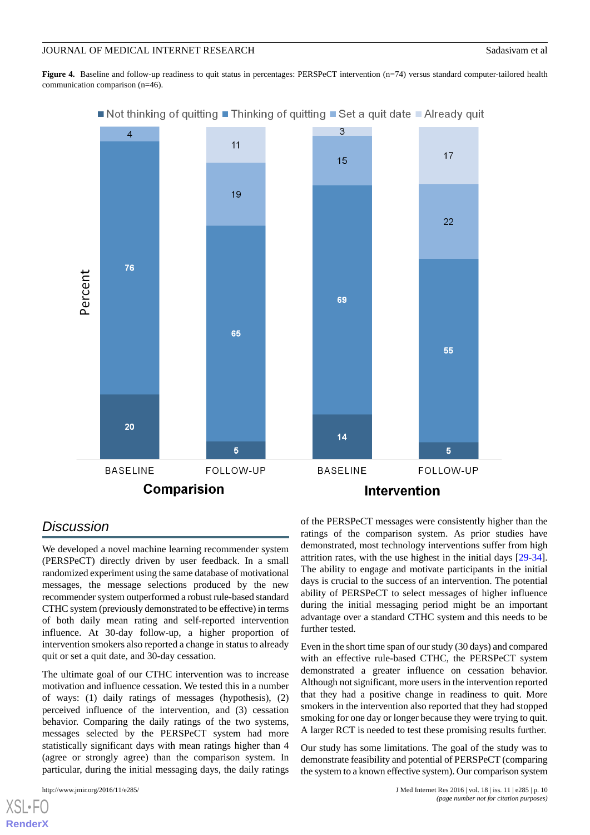<span id="page-9-0"></span>**Figure 4.** Baseline and follow-up readiness to quit status in percentages: PERSPeCT intervention (n=74) versus standard computer-tailored health communication comparison (n=46).



# ■ Not thinking of quitting ■ Thinking of quitting ■ Set a quit date ■ Already quit

# *Discussion*

We developed a novel machine learning recommender system (PERSPeCT) directly driven by user feedback. In a small randomized experiment using the same database of motivational messages, the message selections produced by the new recommender system outperformed a robust rule-based standard CTHC system (previously demonstrated to be effective) in terms of both daily mean rating and self-reported intervention influence. At 30-day follow-up, a higher proportion of intervention smokers also reported a change in status to already quit or set a quit date, and 30-day cessation.

The ultimate goal of our CTHC intervention was to increase motivation and influence cessation. We tested this in a number of ways: (1) daily ratings of messages (hypothesis), (2) perceived influence of the intervention, and (3) cessation behavior. Comparing the daily ratings of the two systems, messages selected by the PERSPeCT system had more statistically significant days with mean ratings higher than 4 (agree or strongly agree) than the comparison system. In particular, during the initial messaging days, the daily ratings

 $X$ SL•FO **[RenderX](http://www.renderx.com/)** of the PERSPeCT messages were consistently higher than the ratings of the comparison system. As prior studies have demonstrated, most technology interventions suffer from high attrition rates, with the use highest in the initial days [[29-](#page-11-20)[34\]](#page-12-0). The ability to engage and motivate participants in the initial days is crucial to the success of an intervention. The potential ability of PERSPeCT to select messages of higher influence during the initial messaging period might be an important advantage over a standard CTHC system and this needs to be further tested.

Even in the short time span of our study (30 days) and compared with an effective rule-based CTHC, the PERSPeCT system demonstrated a greater influence on cessation behavior. Although not significant, more users in the intervention reported that they had a positive change in readiness to quit. More smokers in the intervention also reported that they had stopped smoking for one day or longer because they were trying to quit. A larger RCT is needed to test these promising results further.

Our study has some limitations. The goal of the study was to demonstrate feasibility and potential of PERSPeCT (comparing the system to a known effective system). Our comparison system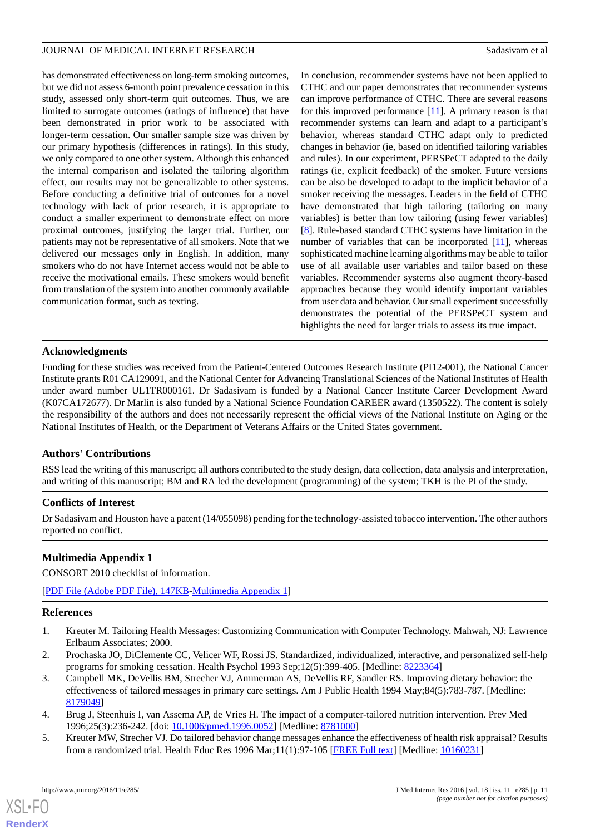has demonstrated effectiveness on long-term smoking outcomes, but we did not assess 6-month point prevalence cessation in this study, assessed only short-term quit outcomes. Thus, we are limited to surrogate outcomes (ratings of influence) that have been demonstrated in prior work to be associated with longer-term cessation. Our smaller sample size was driven by our primary hypothesis (differences in ratings). In this study, we only compared to one other system. Although this enhanced the internal comparison and isolated the tailoring algorithm effect, our results may not be generalizable to other systems. Before conducting a definitive trial of outcomes for a novel technology with lack of prior research, it is appropriate to conduct a smaller experiment to demonstrate effect on more proximal outcomes, justifying the larger trial. Further, our patients may not be representative of all smokers. Note that we delivered our messages only in English. In addition, many smokers who do not have Internet access would not be able to receive the motivational emails. These smokers would benefit from translation of the system into another commonly available communication format, such as texting.

In conclusion, recommender systems have not been applied to CTHC and our paper demonstrates that recommender systems can improve performance of CTHC. There are several reasons for this improved performance [\[11](#page-11-3)]. A primary reason is that recommender systems can learn and adapt to a participant's behavior, whereas standard CTHC adapt only to predicted changes in behavior (ie, based on identified tailoring variables and rules). In our experiment, PERSPeCT adapted to the daily ratings (ie, explicit feedback) of the smoker. Future versions can be also be developed to adapt to the implicit behavior of a smoker receiving the messages. Leaders in the field of CTHC have demonstrated that high tailoring (tailoring on many variables) is better than low tailoring (using fewer variables) [[8\]](#page-11-0). Rule-based standard CTHC systems have limitation in the number of variables that can be incorporated [[11\]](#page-11-3), whereas sophisticated machine learning algorithms may be able to tailor use of all available user variables and tailor based on these variables. Recommender systems also augment theory-based approaches because they would identify important variables from user data and behavior. Our small experiment successfully demonstrates the potential of the PERSPeCT system and highlights the need for larger trials to assess its true impact.

### **Acknowledgments**

Funding for these studies was received from the Patient-Centered Outcomes Research Institute (PI12-001), the National Cancer Institute grants R01 CA129091, and the National Center for Advancing Translational Sciences of the National Institutes of Health under award number UL1TR000161. Dr Sadasivam is funded by a National Cancer Institute Career Development Award (K07CA172677). Dr Marlin is also funded by a National Science Foundation CAREER award (1350522). The content is solely the responsibility of the authors and does not necessarily represent the official views of the National Institute on Aging or the National Institutes of Health, or the Department of Veterans Affairs or the United States government.

# **Authors' Contributions**

RSS lead the writing of this manuscript; all authors contributed to the study design, data collection, data analysis and interpretation, and writing of this manuscript; BM and RA led the development (programming) of the system; TKH is the PI of the study.

#### <span id="page-10-2"></span>**Conflicts of Interest**

Dr Sadasivam and Houston have a patent (14/055098) pending for the technology-assisted tobacco intervention. The other authors reported no conflict.

# **Multimedia Appendix 1**

<span id="page-10-0"></span>CONSORT 2010 checklist of information.

<span id="page-10-1"></span>[[PDF File \(Adobe PDF File\), 147KB-Multimedia Appendix 1](https://jmir.org/api/download?alt_name=jmir_v18i11e285_app1.pdf&filename=f293d0fffa45311304505b7e297823ea.pdf)]

#### **References**

- 1. Kreuter M. Tailoring Health Messages: Customizing Communication with Computer Technology. Mahwah, NJ: Lawrence Erlbaum Associates; 2000.
- 2. Prochaska JO, DiClemente CC, Velicer WF, Rossi JS. Standardized, individualized, interactive, and personalized self-help programs for smoking cessation. Health Psychol 1993 Sep;12(5):399-405. [Medline: [8223364\]](http://www.ncbi.nlm.nih.gov/entrez/query.fcgi?cmd=Retrieve&db=PubMed&list_uids=8223364&dopt=Abstract)
- 3. Campbell MK, DeVellis BM, Strecher VJ, Ammerman AS, DeVellis RF, Sandler RS. Improving dietary behavior: the effectiveness of tailored messages in primary care settings. Am J Public Health 1994 May;84(5):783-787. [Medline: [8179049\]](http://www.ncbi.nlm.nih.gov/entrez/query.fcgi?cmd=Retrieve&db=PubMed&list_uids=8179049&dopt=Abstract)
- 4. Brug J, Steenhuis I, van Assema AP, de Vries H. The impact of a computer-tailored nutrition intervention. Prev Med 1996;25(3):236-242. [doi: [10.1006/pmed.1996.0052\]](http://dx.doi.org/10.1006/pmed.1996.0052) [Medline: [8781000\]](http://www.ncbi.nlm.nih.gov/entrez/query.fcgi?cmd=Retrieve&db=PubMed&list_uids=8781000&dopt=Abstract)
- 5. Kreuter MW, Strecher VJ. Do tailored behavior change messages enhance the effectiveness of health risk appraisal? Results from a randomized trial. Health Educ Res 1996 Mar;11(1):97-105 [\[FREE Full text\]](http://her.oxfordjournals.org/cgi/pmidlookup?view=long&pmid=10160231) [Medline: [10160231\]](http://www.ncbi.nlm.nih.gov/entrez/query.fcgi?cmd=Retrieve&db=PubMed&list_uids=10160231&dopt=Abstract)

[XSL](http://www.w3.org/Style/XSL)•FO **[RenderX](http://www.renderx.com/)**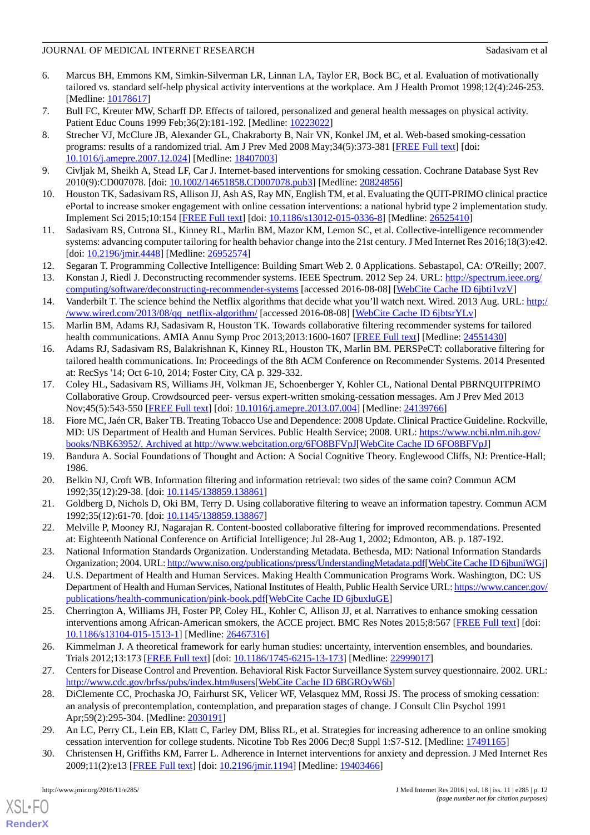- 6. Marcus BH, Emmons KM, Simkin-Silverman LR, Linnan LA, Taylor ER, Bock BC, et al. Evaluation of motivationally tailored vs. standard self-help physical activity interventions at the workplace. Am J Health Promot 1998;12(4):246-253. [Medline: [10178617](http://www.ncbi.nlm.nih.gov/entrez/query.fcgi?cmd=Retrieve&db=PubMed&list_uids=10178617&dopt=Abstract)]
- <span id="page-11-0"></span>7. Bull FC, Kreuter MW, Scharff DP. Effects of tailored, personalized and general health messages on physical activity. Patient Educ Couns 1999 Feb;36(2):181-192. [Medline: [10223022\]](http://www.ncbi.nlm.nih.gov/entrez/query.fcgi?cmd=Retrieve&db=PubMed&list_uids=10223022&dopt=Abstract)
- 8. Strecher VJ, McClure JB, Alexander GL, Chakraborty B, Nair VN, Konkel JM, et al. Web-based smoking-cessation programs: results of a randomized trial. Am J Prev Med 2008 May;34(5):373-381 [\[FREE Full text\]](http://europepmc.org/abstract/MED/18407003) [doi: [10.1016/j.amepre.2007.12.024](http://dx.doi.org/10.1016/j.amepre.2007.12.024)] [Medline: [18407003\]](http://www.ncbi.nlm.nih.gov/entrez/query.fcgi?cmd=Retrieve&db=PubMed&list_uids=18407003&dopt=Abstract)
- <span id="page-11-2"></span><span id="page-11-1"></span>9. Civljak M, Sheikh A, Stead LF, Car J. Internet-based interventions for smoking cessation. Cochrane Database Syst Rev 2010(9):CD007078. [doi: [10.1002/14651858.CD007078.pub3](http://dx.doi.org/10.1002/14651858.CD007078.pub3)] [Medline: [20824856](http://www.ncbi.nlm.nih.gov/entrez/query.fcgi?cmd=Retrieve&db=PubMed&list_uids=20824856&dopt=Abstract)]
- <span id="page-11-3"></span>10. Houston TK, Sadasivam RS, Allison JJ, Ash AS, Ray MN, English TM, et al. Evaluating the QUIT-PRIMO clinical practice ePortal to increase smoker engagement with online cessation interventions: a national hybrid type 2 implementation study. Implement Sci 2015;10:154 [\[FREE Full text](http://www.implementationscience.com/content/10//154)] [doi: [10.1186/s13012-015-0336-8\]](http://dx.doi.org/10.1186/s13012-015-0336-8) [Medline: [26525410\]](http://www.ncbi.nlm.nih.gov/entrez/query.fcgi?cmd=Retrieve&db=PubMed&list_uids=26525410&dopt=Abstract)
- <span id="page-11-4"></span>11. Sadasivam RS, Cutrona SL, Kinney RL, Marlin BM, Mazor KM, Lemon SC, et al. Collective-intelligence recommender systems: advancing computer tailoring for health behavior change into the 21st century. J Med Internet Res 2016;18(3):e42. [doi: [10.2196/jmir.4448\]](http://dx.doi.org/10.2196/jmir.4448) [Medline: [26952574\]](http://www.ncbi.nlm.nih.gov/entrez/query.fcgi?cmd=Retrieve&db=PubMed&list_uids=26952574&dopt=Abstract)
- 12. Segaran T. Programming Collective Intelligence: Building Smart Web 2. 0 Applications. Sebastapol, CA: O'Reilly; 2007.
- <span id="page-11-5"></span>13. Konstan J, Riedl J. Deconstructing recommender systems. IEEE Spectrum. 2012 Sep 24. URL: [http://spectrum.ieee.org/](http://spectrum.ieee.org/computing/software/deconstructing-recommender-systems) [computing/software/deconstructing-recommender-systems](http://spectrum.ieee.org/computing/software/deconstructing-recommender-systems) [accessed 2016-08-08] [\[WebCite Cache ID 6jbti1vzV](http://www.webcitation.org/

                                            6jbti1vzV)]
- <span id="page-11-6"></span>14. Vanderbilt T. The science behind the Netflix algorithms that decide what you'll watch next. Wired. 2013 Aug. URL: [http:/](http://www.wired.com/2013/08/qq_netflix-algorithm/) [/www.wired.com/2013/08/qq\\_netflix-algorithm/](http://www.wired.com/2013/08/qq_netflix-algorithm/) [accessed 2016-08-08] [[WebCite Cache ID 6jbtsrYLv\]](http://www.webcitation.org/

                                            6jbtsrYLv)
- <span id="page-11-7"></span>15. Marlin BM, Adams RJ, Sadasivam R, Houston TK. Towards collaborative filtering recommender systems for tailored health communications. AMIA Annu Symp Proc 2013;2013:1600-1607 [[FREE Full text](http://europepmc.org/abstract/MED/24551430)] [Medline: [24551430](http://www.ncbi.nlm.nih.gov/entrez/query.fcgi?cmd=Retrieve&db=PubMed&list_uids=24551430&dopt=Abstract)]
- <span id="page-11-8"></span>16. Adams RJ, Sadasivam RS, Balakrishnan K, Kinney RL, Houston TK, Marlin BM. PERSPeCT: collaborative filtering for tailored health communications. In: Proceedings of the 8th ACM Conference on Recommender Systems. 2014 Presented at: RecSys '14; Oct 6-10, 2014; Foster City, CA p. 329-332.
- <span id="page-11-9"></span>17. Coley HL, Sadasivam RS, Williams JH, Volkman JE, Schoenberger Y, Kohler CL, National Dental PBRNQUITPRIMO Collaborative Group. Crowdsourced peer- versus expert-written smoking-cessation messages. Am J Prev Med 2013 Nov;45(5):543-550 [[FREE Full text](http://europepmc.org/abstract/MED/24139766)] [doi: [10.1016/j.amepre.2013.07.004](http://dx.doi.org/10.1016/j.amepre.2013.07.004)] [Medline: [24139766\]](http://www.ncbi.nlm.nih.gov/entrez/query.fcgi?cmd=Retrieve&db=PubMed&list_uids=24139766&dopt=Abstract)
- <span id="page-11-11"></span><span id="page-11-10"></span>18. Fiore MC, Jaén CR, Baker TB. Treating Tobacco Use and Dependence: 2008 Update. Clinical Practice Guideline. Rockville, MD: US Department of Health and Human Services. Public Health Service; 2008. URL: [https://www.ncbi.nlm.nih.gov/](https://www.ncbi.nlm.nih.gov/books/NBK63952/) [books/NBK63952/. Archived at http://www.webcitation.org/6FO8BFVpJ\[](https://www.ncbi.nlm.nih.gov/books/NBK63952/)[WebCite Cache ID 6FO8BFVpJ\]](http://www.webcitation.org/

                                            6FO8BFVpJ)
- <span id="page-11-12"></span>19. Bandura A. Social Foundations of Thought and Action: A Social Cognitive Theory. Englewood Cliffs, NJ: Prentice-Hall; 1986.
- <span id="page-11-13"></span>20. Belkin NJ, Croft WB. Information filtering and information retrieval: two sides of the same coin? Commun ACM 1992;35(12):29-38. [doi: [10.1145/138859.138861](http://dx.doi.org/10.1145/138859.138861)]
- <span id="page-11-14"></span>21. Goldberg D, Nichols D, Oki BM, Terry D. Using collaborative filtering to weave an information tapestry. Commun ACM 1992;35(12):61-70. [doi: [10.1145/138859.138867](http://dx.doi.org/10.1145/138859.138867)]
- <span id="page-11-15"></span>22. Melville P, Mooney RJ, Nagarajan R. Content-boosted collaborative filtering for improved recommendations. Presented at: Eighteenth National Conference on Artificial Intelligence; Jul 28-Aug 1, 2002; Edmonton, AB. p. 187-192.
- <span id="page-11-16"></span>23. National Information Standards Organization. Understanding Metadata. Bethesda, MD: National Information Standards Organization; 2004. URL:<http://www.niso.org/publications/press/UnderstandingMetadata.pdf>[\[WebCite Cache ID 6jbuniWGj\]](http://www.webcitation.org/

                                            6jbuniWGj)
- <span id="page-11-17"></span>24. U.S. Department of Health and Human Services. Making Health Communication Programs Work. Washington, DC: US Department of Health and Human Services, National Institutes of Health, Public Health Service URL: [https://www.cancer.gov/](https://www.cancer.gov/publications/health-communication/pink-book.pdf) [publications/health-communication/pink-book.pdf](https://www.cancer.gov/publications/health-communication/pink-book.pdf)[\[WebCite Cache ID 6jbuxluGE\]](http://www.webcitation.org/

                                            6jbuxluGE)
- <span id="page-11-19"></span><span id="page-11-18"></span>25. Cherrington A, Williams JH, Foster PP, Coley HL, Kohler C, Allison JJ, et al. Narratives to enhance smoking cessation interventions among African-American smokers, the ACCE project. BMC Res Notes 2015;8:567 [\[FREE Full text\]](http://bmcresnotes.biomedcentral.com/articles/10.1186/s13104-015-1513-1) [doi: [10.1186/s13104-015-1513-1\]](http://dx.doi.org/10.1186/s13104-015-1513-1) [Medline: [26467316](http://www.ncbi.nlm.nih.gov/entrez/query.fcgi?cmd=Retrieve&db=PubMed&list_uids=26467316&dopt=Abstract)]
- <span id="page-11-20"></span>26. Kimmelman J. A theoretical framework for early human studies: uncertainty, intervention ensembles, and boundaries. Trials 2012;13:173 [\[FREE Full text\]](http://trialsjournal.biomedcentral.com/articles/10.1186/1745-6215-13-173) [doi: [10.1186/1745-6215-13-173](http://dx.doi.org/10.1186/1745-6215-13-173)] [Medline: [22999017](http://www.ncbi.nlm.nih.gov/entrez/query.fcgi?cmd=Retrieve&db=PubMed&list_uids=22999017&dopt=Abstract)]
- 27. Centers for Disease Control and Prevention. Behavioral Risk Factor Surveillance System survey questionnaire. 2002. URL: [http://www.cdc.gov/brfss/pubs/index.htm#users\[](http://www.cdc.gov/brfss/pubs/index.htm#users)[WebCite Cache ID 6BGROyW6b\]](http://www.webcitation.org/

                                            6BGROyW6b)
- 28. DiClemente CC, Prochaska JO, Fairhurst SK, Velicer WF, Velasquez MM, Rossi JS. The process of smoking cessation: an analysis of precontemplation, contemplation, and preparation stages of change. J Consult Clin Psychol 1991 Apr;59(2):295-304. [Medline: [2030191\]](http://www.ncbi.nlm.nih.gov/entrez/query.fcgi?cmd=Retrieve&db=PubMed&list_uids=2030191&dopt=Abstract)
- 29. An LC, Perry CL, Lein EB, Klatt C, Farley DM, Bliss RL, et al. Strategies for increasing adherence to an online smoking cessation intervention for college students. Nicotine Tob Res 2006 Dec;8 Suppl 1:S7-S12. [Medline: [17491165\]](http://www.ncbi.nlm.nih.gov/entrez/query.fcgi?cmd=Retrieve&db=PubMed&list_uids=17491165&dopt=Abstract)
- 30. Christensen H, Griffiths KM, Farrer L. Adherence in Internet interventions for anxiety and depression. J Med Internet Res 2009;11(2):e13 [\[FREE Full text](http://www.jmir.org/2009/2/e13/)] [doi: [10.2196/jmir.1194\]](http://dx.doi.org/10.2196/jmir.1194) [Medline: [19403466](http://www.ncbi.nlm.nih.gov/entrez/query.fcgi?cmd=Retrieve&db=PubMed&list_uids=19403466&dopt=Abstract)]

[XSL](http://www.w3.org/Style/XSL)•FO **[RenderX](http://www.renderx.com/)**